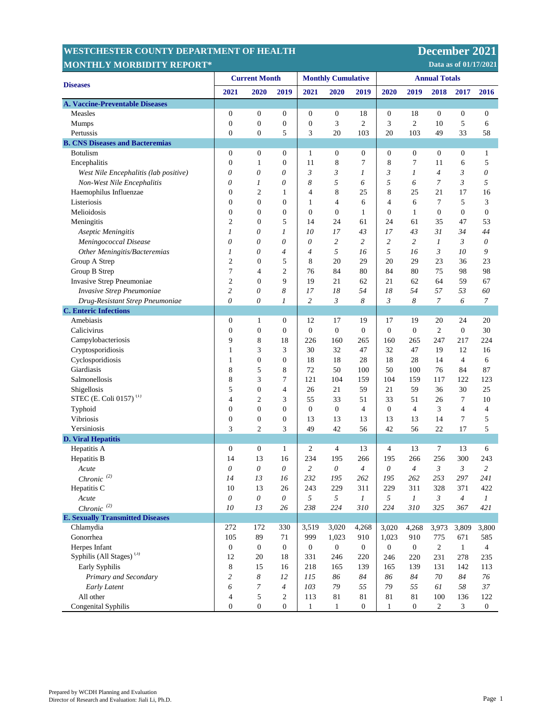| <b>MONTHLY MORBIDITY REPORT*</b><br>Data as of 01/17/2021 |                       |                  |                       |                           |                  |                  |                      |                  |                          |                  |                  |
|-----------------------------------------------------------|-----------------------|------------------|-----------------------|---------------------------|------------------|------------------|----------------------|------------------|--------------------------|------------------|------------------|
| <b>Diseases</b>                                           | <b>Current Month</b>  |                  |                       | <b>Monthly Cumulative</b> |                  |                  | <b>Annual Totals</b> |                  |                          |                  |                  |
|                                                           | 2021                  | 2020             | 2019                  | 2021                      | 2020             | 2019             | 2020                 | 2019             | 2018                     | 2017             | 2016             |
| <b>A. Vaccine-Preventable Diseases</b>                    |                       |                  |                       |                           |                  |                  |                      |                  |                          |                  |                  |
| Measles                                                   | $\boldsymbol{0}$      | $\boldsymbol{0}$ | 0                     | $\boldsymbol{0}$          | $\boldsymbol{0}$ | 18               | $\boldsymbol{0}$     | 18               | $\boldsymbol{0}$         | $\boldsymbol{0}$ | $\mathbf{0}$     |
| <b>Mumps</b>                                              | $\boldsymbol{0}$      | $\boldsymbol{0}$ | $\boldsymbol{0}$      | $\boldsymbol{0}$          | 3                | $\overline{2}$   | 3                    | $\overline{c}$   | 10                       | 5                | 6                |
| Pertussis                                                 | $\mathbf{0}$          | $\overline{0}$   | 5                     | 3                         | 20               | 103              | 20                   | 103              | 49                       | 33               | 58               |
| <b>B. CNS Diseases and Bacteremias</b>                    |                       |                  |                       |                           |                  |                  |                      |                  |                          |                  |                  |
| <b>Botulism</b>                                           | $\boldsymbol{0}$      | $\boldsymbol{0}$ | 0                     | 1                         | $\boldsymbol{0}$ | $\mathbf{0}$     | $\boldsymbol{0}$     | $\boldsymbol{0}$ | $\boldsymbol{0}$         | $\boldsymbol{0}$ | $\mathbf{1}$     |
| Encephalitis                                              | $\boldsymbol{0}$      | 1                | $\boldsymbol{0}$      | 11                        | 8                | 7                | 8                    | 7                | 11                       | 6                | 5                |
| West Nile Encephalitis (lab positive)                     | $\theta$              | 0                | 0                     | 3                         | 3                | 1                | 3                    | 1                | $\overline{\mathcal{A}}$ | 3                | 0                |
| Non-West Nile Encephalitis                                | 0                     | 1                | 0                     | 8                         | 5                | 6                | 5                    | 6                | 7                        | 3                | 5                |
| Haemophilus Influenzae                                    | $\boldsymbol{0}$      | $\overline{c}$   | 1                     | $\overline{4}$            | 8                | 25               | 8                    | 25               | 21                       | 17               | 16               |
| Listeriosis                                               | $\boldsymbol{0}$      | $\boldsymbol{0}$ | $\boldsymbol{0}$      | $\mathbf{1}$              | $\overline{4}$   | 6                | $\overline{4}$       | 6                | $\tau$                   | 5                | 3                |
| Melioidosis                                               | $\boldsymbol{0}$      | $\boldsymbol{0}$ | $\boldsymbol{0}$      | $\boldsymbol{0}$          | $\boldsymbol{0}$ | $\mathbf{1}$     | $\boldsymbol{0}$     | $\mathbf{1}$     | $\boldsymbol{0}$         | $\boldsymbol{0}$ | $\boldsymbol{0}$ |
| Meningitis                                                | $\mathfrak{2}$        | $\mathbf{0}$     | 5                     | 14                        | 24               | 61               | 24                   | 61               | 35                       | 47               | 53               |
| Aseptic Meningitis                                        | 1                     | 0                | 1                     | 10                        | 17               | 43               | 17                   | 43               | 31                       | 34               | 44               |
| Meningococcal Disease                                     | $\theta$              | 0                | 0                     | 0                         | $\overline{c}$   | $\overline{c}$   | 2                    | 2                | 1                        | 3                | 0                |
| Other Meningitis/Bacteremias                              | 1                     | 0                | 4                     | 4                         | 5                | 16               | 5                    | 16               | 3                        | 10               | 9                |
| Group A Strep                                             | $\mathfrak{2}$        | $\boldsymbol{0}$ | 5                     | 8                         | 20               | 29               | 20                   | 29               | 23                       | 36               | 23               |
| Group B Strep                                             | $\boldsymbol{7}$      | 4                | $\overline{c}$        | 76                        | 84               | 80               | 84                   | 80               | 75                       | 98               | 98               |
| Invasive Strep Pneumoniae                                 | $\mathfrak{2}$        | $\boldsymbol{0}$ | 9                     | 19                        | 21               | 62               | 21                   | 62               | 64                       | 59               | 67               |
| Invasive Strep Pneumoniae                                 | $\overline{c}$        | 0                | 8                     | 17                        | 18               | 54               | 18                   | 54               | 57                       | 53               | 60               |
| Drug-Resistant Strep Pneumoniae                           | $\theta$              | 0                | 1                     | 2                         | $\mathfrak{Z}$   | 8                | 3                    | 8                | 7                        | 6                | 7                |
| <b>C.</b> Enteric Infections                              |                       |                  |                       |                           |                  |                  |                      |                  |                          |                  |                  |
| Amebiasis                                                 | $\boldsymbol{0}$      | 1                | $\boldsymbol{0}$      | 12                        | 17               | 19               | 17                   | 19               | 20                       | 24               | 20               |
| Calicivirus                                               | $\boldsymbol{0}$      | $\boldsymbol{0}$ | $\boldsymbol{0}$      | $\boldsymbol{0}$          | $\mathbf{0}$     | $\mathbf{0}$     | $\boldsymbol{0}$     | $\boldsymbol{0}$ | $\mathfrak{2}$           | $\boldsymbol{0}$ | 30               |
| Campylobacteriosis                                        | 9                     | 8                | 18                    | 226                       | 160              | 265              | 160                  | 265              | 247                      | 217              | 224              |
| Cryptosporidiosis                                         | 1                     | 3                | 3                     | 30                        | 32               | 47               | 32                   | 47               | 19                       | 12               | 16               |
| Cyclosporidiosis                                          | $\mathbf{1}$          | $\boldsymbol{0}$ | $\boldsymbol{0}$      | 18                        | 18               | 28               | 18                   | 28               | 14                       | $\overline{4}$   | 6                |
| Giardiasis                                                | 8                     | 5                | 8                     | 72                        | 50               | 100              | 50                   | 100              | 76                       | 84               | 87               |
| Salmonellosis                                             | 8                     | 3                | 7                     | 121                       | 104              | 159              | 104                  | 159              | 117                      | 122              | 123              |
| Shigellosis                                               | 5                     | $\boldsymbol{0}$ | $\overline{4}$        | 26                        | 21               | 59               | 21                   | 59               | 36                       | 30               | 25               |
| STEC (E. Coli 0157) <sup>(1)</sup>                        | 4                     | $\mathfrak{2}$   | 3                     | 55                        | 33               | 51               | 33                   | 51               | 26                       | 7                | 10               |
| Typhoid                                                   | $\mathbf{0}$          | $\mathbf{0}$     | $\boldsymbol{0}$      | $\boldsymbol{0}$          | $\mathbf{0}$     | $\overline{4}$   | $\mathbf{0}$         | $\overline{4}$   | 3                        | 4                | 4                |
| Vibriosis                                                 | $\boldsymbol{0}$      | $\boldsymbol{0}$ | $\boldsymbol{0}$      | 13                        | 13               | 13               | 13                   | 13               | 14                       | $\tau$           | 5                |
| Yersiniosis                                               | 3                     | $\overline{c}$   | 3                     | 49                        | 42               | 56               | 42                   | 56               | 22                       | 17               | 5                |
| <b>D. Viral Hepatitis</b>                                 |                       |                  |                       |                           |                  |                  |                      |                  |                          |                  |                  |
| Hepatitis A                                               | $\boldsymbol{0}$      | $\boldsymbol{0}$ | $\mathbf{1}$          | $\overline{c}$            | $\overline{4}$   | 13               | 4                    | 13               | 7                        | 13               | 6                |
| Hepatitis B                                               | 14                    | 13               | 16                    | 234                       | 195              | 266              | 195                  | 266              | 256                      | 300              | 243              |
| Acute                                                     | 0                     | 0                | 0                     | 2                         | 0                | 4                | 0                    | 4                | 3                        | 3                | 2                |
| Chronic $(2)$                                             | 14                    | 13               | 16                    | 232                       | 195              | 262              | 195                  | 262              | 253                      | 297              | 241              |
| Hepatitis C                                               | 10                    | 13               | 26                    | 243                       | 229              | 311              | 229                  | 311              | 328                      | 371              | 422              |
| Acute                                                     | $\boldsymbol{\theta}$ | $\theta$         | $\boldsymbol{\theta}$ | 5                         | 5                | $\boldsymbol{l}$ | $\sqrt{2}$           | $\boldsymbol{l}$ | $\mathfrak{Z}$           | $\overline{4}$   | $\boldsymbol{l}$ |
| Chronic $(2)$                                             | 10                    | 13               | 26                    | 238                       | 224              | 310              | 224                  | 310              | 325                      | 367              | 421              |
| <b>E. Sexually Transmitted Diseases</b>                   |                       |                  |                       |                           |                  |                  |                      |                  |                          |                  |                  |
| Chlamydia                                                 | 272                   | 172              | 330                   | 3,519                     | 3,020            | 4,268            | 3,020                | 4,268            | 3,973                    | 3,809            | 3,800            |
| Gonorrhea                                                 | 105                   | 89               | 71                    | 999                       | 1,023            | 910              | 1,023                | 910              | 775                      | 671              | 585              |
| Herpes Infant                                             | $\boldsymbol{0}$      | $\boldsymbol{0}$ | $\boldsymbol{0}$      | $\mathbf{0}$              | $\boldsymbol{0}$ | $\overline{0}$   | $\boldsymbol{0}$     | $\mathbf{0}$     | $\sqrt{2}$               | $\mathbf{1}$     | $\overline{4}$   |
| Syphilis (All Stages) <sup>(3)</sup>                      | 12                    | 20               | 18                    | 331                       | 246              | 220              | 246                  | 220              | 231                      | 278              | 235              |
| Early Syphilis                                            | 8                     | 15               | 16                    | 218                       | 165              | 139              | 165                  | 139              | 131                      | 142              | 113              |
| Primary and Secondary                                     | $\overline{c}$        | 8                | 12                    | 115                       | 86               | 84               | 86                   | 84               | 70                       | 84               | 76               |
| Early Latent                                              | 6                     | $\boldsymbol{7}$ | $\overline{4}$        | 103                       | 79               | 55               | 79                   | 55               | 61                       | 58               | 37               |
| All other                                                 | $\overline{4}$        | 5                | $\overline{c}$        | 113                       | 81               | 81               | 81                   | 81               | 100                      | 136              | 122              |
| Congenital Syphilis                                       | $\boldsymbol{0}$      | $\boldsymbol{0}$ | $\boldsymbol{0}$      | $\mathbf{1}$              | $\mathbf{1}$     | $\boldsymbol{0}$ | $\mathbf{1}$         | $\boldsymbol{0}$ | $\sqrt{2}$               | 3                | $\boldsymbol{0}$ |

**WESTCHESTER COUNTY DEPARTMENT OF HEALTH DECEMBER 2021**